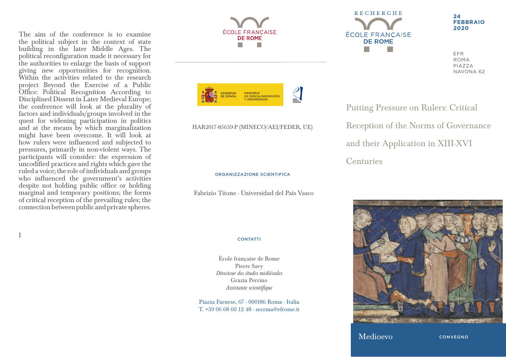The aim of the conference is to examine the political subject in the context of state building in the later Middle Ages. The political reconfiguration made it necessary for the authorities to enlarge the basis of support giving new opportunities for recognition. Within the activities related to the research project Beyond the Exercise of a Public Office: Political Recognition According to Disciplined Dissent in Later Medieval Europe; the conference will look at the plurality of factors and individuals/groups involved in the quest for widening participation in politics and at the means by which marginalization might have been overcome. It will look at how rulers were influenced and subjected to pressures, primarily in non-violent ways. The participants will consider: the expression of uncodified practices and rights which gave the ruled a voice; the role of individuals and groups who influenced the government's activities despite not holding public office or holding marginal and temporary positions; the forms of critical reception of the prevailing rules; the connection between public and private spheres.

I



Putting Pressure on Rulers: Critical Reception of the Norms of Governance and their Application in XIII-XVI Centuries

**24**

EFR ROMA PIAZZA NAVONA 62

**FEBBRAIO 2020**

ORGANIZZAZIONE SCIENTIFICA

HAR2017-85639-P (MINECO/AEI/FEDER, UE)

Fabrizio Titone - Universidad del País Vasco

## **CONTATTI**

École française de Rome Pierre Savy *Directeur des études médiévales* Grazia Perrino *Assistante scientifique*

Piazza Farnese, 67 - 000186 Roma - Italia T. +39 06 68 60 12 48 - secrma@efrome.it



Medioevo

**CONVEGNO**